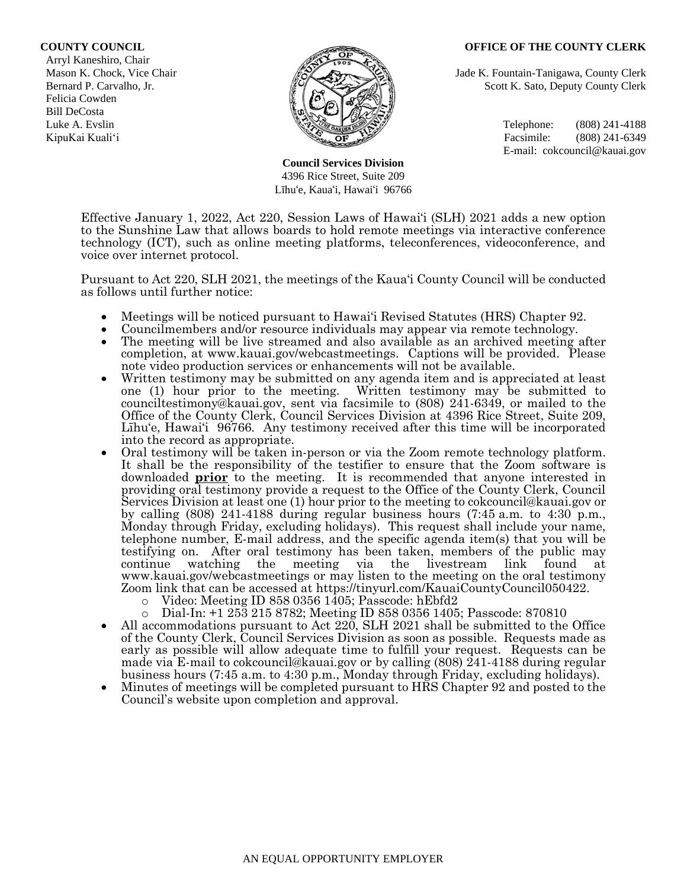#### **COUNTY COUNCIL OFFICE OF THE COUNTY CLERK**

 Arryl Kaneshiro, Chair Felicia Cowden Bill DeCosta



**Council Services Division** 4396 Rice Street, Suite 209 Līhu'e, Kaua'i, Hawai'i 96766

Mason K. Chock, Vice Chair **Jade K. Fountain-Tanigawa, County Clerk** Jade K. Fountain-Tanigawa, County Clerk Bernard P. Carvalho, Jr. Scott K. Sato, Deputy County Clerk

Luke A. Evslin  $\mathbb{R}^n$  Telephone: (808) 241-4188 KipuKai Kuali'i Facsimile: (808) 241-6349 E-mail: cokcouncil@kauai.gov

Effective January 1, 2022, Act 220, Session Laws of Hawai'i (SLH) 2021 adds a new option to the Sunshine Law that allows boards to hold remote meetings via interactive conference technology (ICT), such as online meeting platforms, teleconferences, videoconference, and voice over internet protocol.

Pursuant to Act 220, SLH 2021, the meetings of the Kaua'i County Council will be conducted as follows until further notice:

- Meetings will be noticed pursuant to Hawai'i Revised Statutes (HRS) Chapter 92.
- Councilmembers and/or resource individuals may appear via remote technology.
- The meeting will be live streamed and also available as an archived meeting after completion, at www.kauai.gov/webcastmeetings. Captions will be provided. Please note video production services or enhancements will not be available.
- Written testimony may be submitted on any agenda item and is appreciated at least one (1) hour prior to the meeting. Written testimony may be submitted to counciltestimony@kauai.gov, sent via facsimile to (808) 241-6349, or mailed to the Office of the County Clerk, Council Services Division at 4396 Rice Street, Suite 209, Līhu'e, Hawai'i 96766. Any testimony received after this time will be incorporated into the record as appropriate.
- Oral testimony will be taken in-person or via the Zoom remote technology platform. It shall be the responsibility of the testifier to ensure that the Zoom software is downloaded **prior** to the meeting. It is recommended that anyone interested in providing oral testimony provide a request to the Office of the County Clerk, Council Services Division at least one (1) hour prior to the meeting to cokcouncil@kauai.gov or by calling (808) 241-4188 during regular business hours (7:45 a.m. to 4:30 p.m., Monday through Friday, excluding holidays). This request shall include your name, telephone number, E-mail address, and the specific agenda item(s) that you will be testifying on. After oral testimony has been taken, members of the public may continue watching the meeting via the livestream link found at www.kauai.gov/webcastmeetings or may listen to the meeting on the oral testimony Zoom link that can be accessed at https://tinyurl.com/KauaiCountyCouncil050422.
	- o Video: Meeting ID 858 0356 1405; Passcode: hEbfd2
	- o Dial-In: +1 253 215 8782; Meeting ID 858 0356 1405; Passcode: 870810
- All accommodations pursuant to Act 220, SLH 2021 shall be submitted to the Office of the County Clerk, Council Services Division as soon as possible. Requests made as early as possible will allow adequate time to fulfill your request. Requests can be made via E-mail to cokcouncil@kauai.gov or by calling (808) 241-4188 during regular business hours (7:45 a.m. to 4:30 p.m., Monday through Friday, excluding holidays).
- Minutes of meetings will be completed pursuant to HRS Chapter 92 and posted to the Council's website upon completion and approval.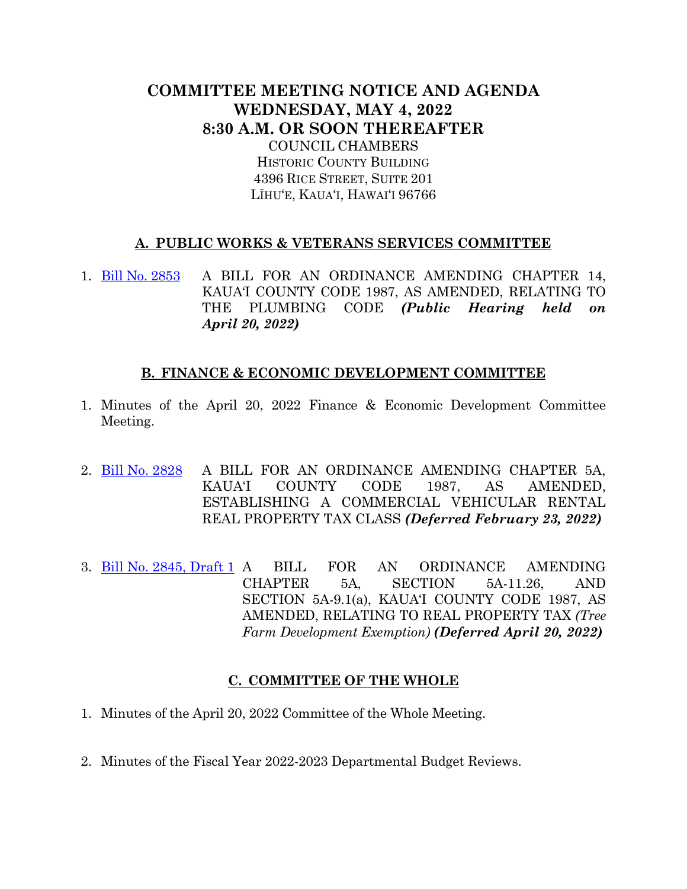# **COMMITTEE MEETING NOTICE AND AGENDA WEDNESDAY, MAY 4, 2022 8:30 A.M. OR SOON THEREAFTER** COUNCIL CHAMBERS HISTORIC COUNTY BUILDING 4396 RICE STREET, SUITE 201 LĪHU'E, KAUA'I, HAWAI'I 96766

# **A. PUBLIC WORKS & VETERANS SERVICES COMMITTEE**

1. [Bill No. 2853](https://kauai.granicus.com/MetaViewer.php?meta_id=159326) A BILL FOR AN ORDINANCE AMENDING CHAPTER 14, KAUA'I COUNTY CODE 1987, AS AMENDED, RELATING TO THE PLUMBING CODE *(Public Hearing held on April 20, 2022)*

## **B. FINANCE & ECONOMIC DEVELOPMENT COMMITTEE**

- 1. Minutes of the April 20, 2022 Finance & Economic Development Committee Meeting.
- 2. [Bill No. 2828](https://kauai.granicus.com/MetaViewer.php?meta_id=159328) A BILL FOR AN ORDINANCE AMENDING CHAPTER 5A, KAUA'I COUNTY CODE 1987, AS AMENDED, ESTABLISHING A COMMERCIAL VEHICULAR RENTAL REAL PROPERTY TAX CLASS *(Deferred February 23, 2022)*
- 3. [Bill No. 2845,](https://kauai.granicus.com/MetaViewer.php?meta_id=159330) Draft 1 A BILL FOR AN ORDINANCE AMENDING CHAPTER 5A, SECTION 5A-11.26, AND SECTION 5A-9.1(a), KAUA'I COUNTY CODE 1987, AS AMENDED, RELATING TO REAL PROPERTY TAX *(Tree Farm Development Exemption) (Deferred April 20, 2022)*

## **C. COMMITTEE OF THE WHOLE**

- 1. Minutes of the April 20, 2022 Committee of the Whole Meeting.
- 2. Minutes of the Fiscal Year 2022-2023 Departmental Budget Reviews.